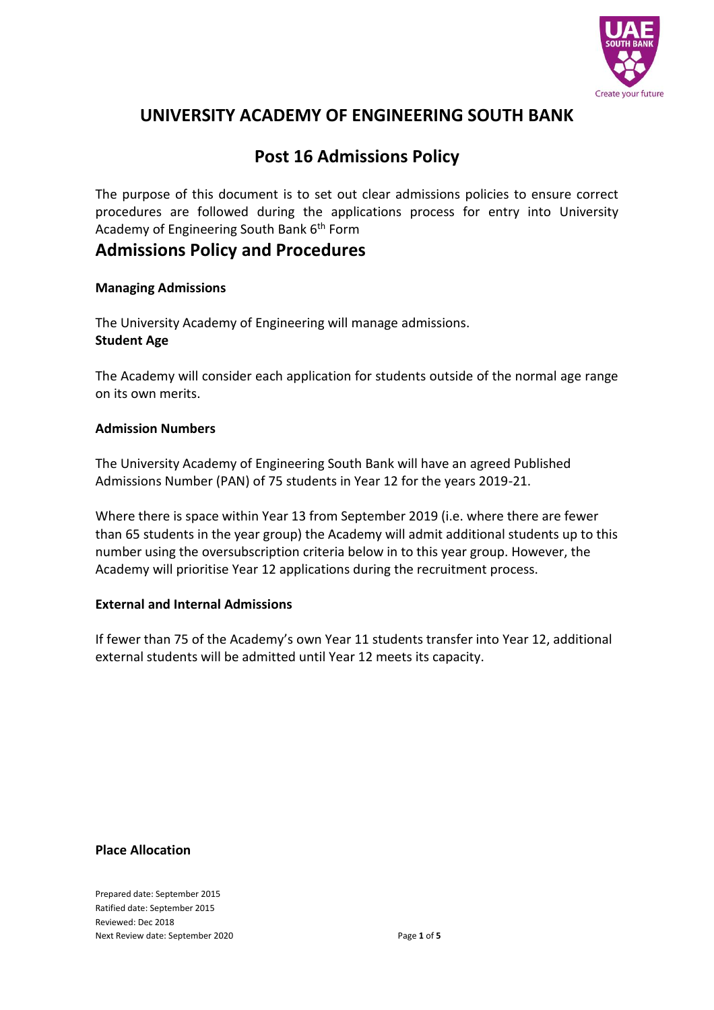

# **UNIVERSITY ACADEMY OF ENGINEERING SOUTH BANK**

# **Post 16 Admissions Policy**

The purpose of this document is to set out clear admissions policies to ensure correct procedures are followed during the applications process for entry into University Academy of Engineering South Bank 6<sup>th</sup> Form

# **Admissions Policy and Procedures**

# **Managing Admissions**

The University Academy of Engineering will manage admissions. **Student Age**

The Academy will consider each application for students outside of the normal age range on its own merits.

### **Admission Numbers**

The University Academy of Engineering South Bank will have an agreed Published Admissions Number (PAN) of 75 students in Year 12 for the years 2019-21.

Where there is space within Year 13 from September 2019 (i.e. where there are fewer than 65 students in the year group) the Academy will admit additional students up to this number using the oversubscription criteria below in to this year group. However, the Academy will prioritise Year 12 applications during the recruitment process.

# **External and Internal Admissions**

If fewer than 75 of the Academy's own Year 11 students transfer into Year 12, additional external students will be admitted until Year 12 meets its capacity.

#### **Place Allocation**

Prepared date: September 2015 Ratified date: September 2015 Reviewed: Dec 2018 Next Review date: September 2020 **Page 1 of 5**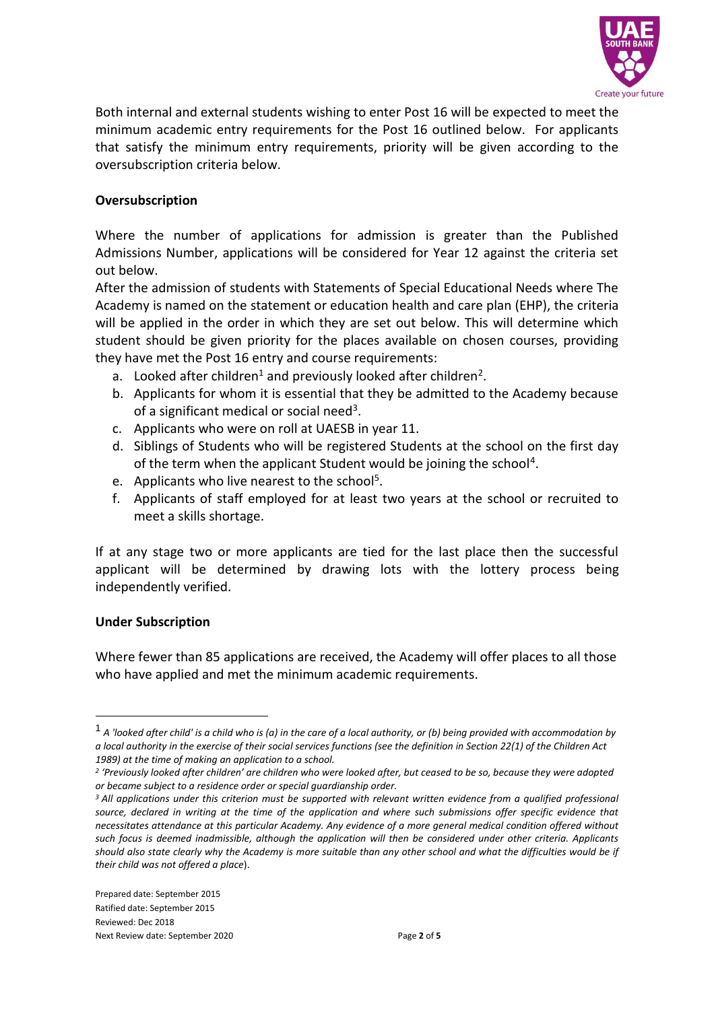

Both internal and external students wishing to enter Post 16 will be expected to meet the minimum academic entry requirements for the Post 16 outlined below. For applicants that satisfy the minimum entry requirements, priority will be given according to the oversubscription criteria below.

### **Oversubscription**

Where the number of applications for admission is greater than the Published Admissions Number, applications will be considered for Year 12 against the criteria set out below.

After the admission of students with Statements of Special Educational Needs where The Academy is named on the statement or education health and care plan (EHP), the criteria will be applied in the order in which they are set out below. This will determine which student should be given priority for the places available on chosen courses, providing they have met the Post 16 entry and course requirements:

- a. Looked after children<sup>1</sup> and previously looked after children<sup>2</sup>.
- b. Applicants for whom it is essential that they be admitted to the Academy because of a significant medical or social need<sup>3</sup>.
- c. Applicants who were on roll at UAESB in year 11.
- d. Siblings of Students who will be registered Students at the school on the first day of the term when the applicant Student would be joining the school<sup>4</sup>.
- e. Applicants who live nearest to the school<sup>5</sup>.
- f. Applicants of staff employed for at least two years at the school or recruited to meet a skills shortage.

If at any stage two or more applicants are tied for the last place then the successful applicant will be determined by drawing lots with the lottery process being independently verified.

#### **Under Subscription**

<u>.</u>

Where fewer than 85 applications are received, the Academy will offer places to all those who have applied and met the minimum academic requirements.

<sup>1</sup> *A 'looked after child' is a child who is (a) in the care of a local authority, or (b) being provided with accommodation by a local authority in the exercise of their social services functions (see the definition in Section 22(1) of the Children Act 1989) at the time of making an application to a school.*

*<sup>2</sup> 'Previously looked after children' are children who were looked after, but ceased to be so, because they were adopted or became subject to a residence order or special guardianship order.*

*<sup>3</sup>All applications under this criterion must be supported with relevant written evidence from a qualified professional*  source, declared in writing at the time of the application and where such submissions offer specific evidence that *necessitates attendance at this particular Academy. Any evidence of a more general medical condition offered without such focus is deemed inadmissible, although the application will then be considered under other criteria. Applicants should also state clearly why the Academy is more suitable than any other school and what the difficulties would be if their child was not offered a place*).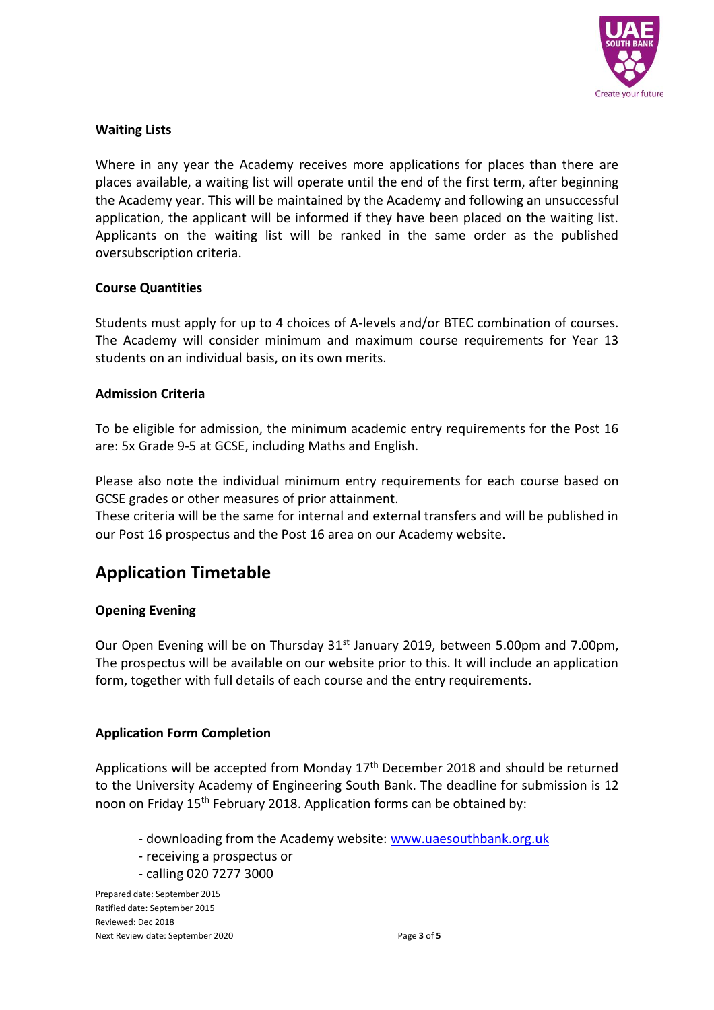

# **Waiting Lists**

Where in any year the Academy receives more applications for places than there are places available, a waiting list will operate until the end of the first term, after beginning the Academy year. This will be maintained by the Academy and following an unsuccessful application, the applicant will be informed if they have been placed on the waiting list. Applicants on the waiting list will be ranked in the same order as the published oversubscription criteria.

### **Course Quantities**

Students must apply for up to 4 choices of A-levels and/or BTEC combination of courses. The Academy will consider minimum and maximum course requirements for Year 13 students on an individual basis, on its own merits.

### **Admission Criteria**

To be eligible for admission, the minimum academic entry requirements for the Post 16 are: 5x Grade 9-5 at GCSE, including Maths and English.

Please also note the individual minimum entry requirements for each course based on GCSE grades or other measures of prior attainment.

These criteria will be the same for internal and external transfers and will be published in our Post 16 prospectus and the Post 16 area on our Academy website.

# **Application Timetable**

# **Opening Evening**

Our Open Evening will be on Thursday 31<sup>st</sup> January 2019, between 5.00pm and 7.00pm, The prospectus will be available on our website prior to this. It will include an application form, together with full details of each course and the entry requirements.

# **Application Form Completion**

Applications will be accepted from Monday  $17<sup>th</sup>$  December 2018 and should be returned to the University Academy of Engineering South Bank. The deadline for submission is 12 noon on Friday 15<sup>th</sup> February 2018. Application forms can be obtained by:

- downloading from the Academy website: [www.uaesouthbank.org.uk](http://www.uaesouthbank.org.uk/)
- receiving a prospectus or
- calling 020 7277 3000

Prepared date: September 2015 Ratified date: September 2015 Reviewed: Dec 2018 Next Review date: September 2020 **Page 3 of 5** Page 3 of 5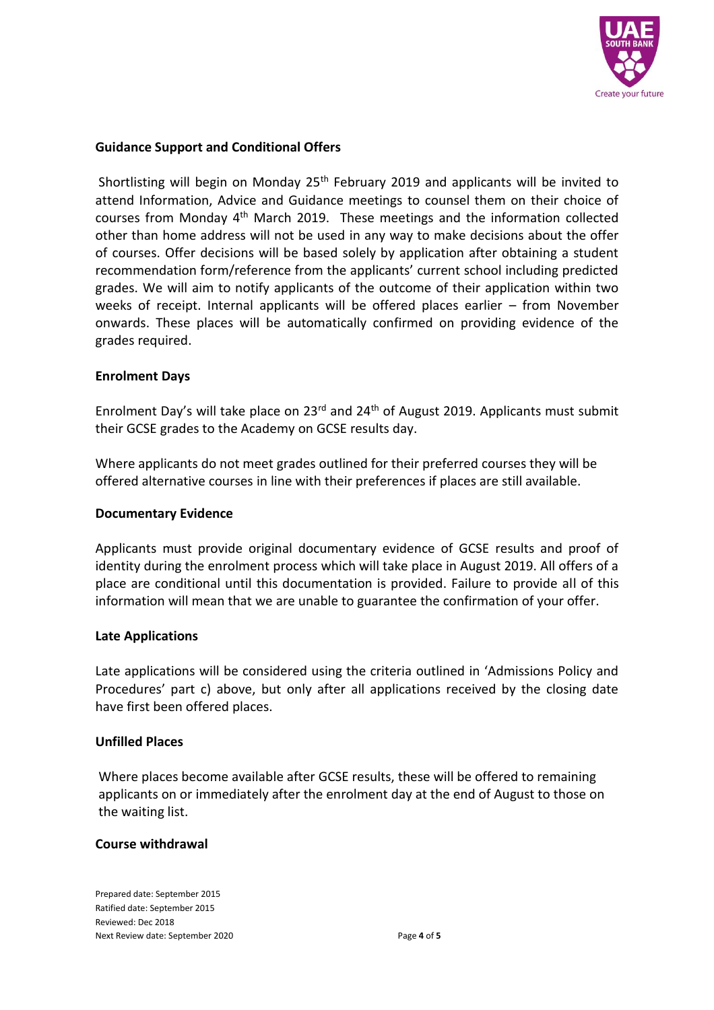

### **Guidance Support and Conditional Offers**

Shortlisting will begin on Monday 25<sup>th</sup> February 2019 and applicants will be invited to attend Information, Advice and Guidance meetings to counsel them on their choice of courses from Monday  $4<sup>th</sup>$  March 2019. These meetings and the information collected other than home address will not be used in any way to make decisions about the offer of courses. Offer decisions will be based solely by application after obtaining a student recommendation form/reference from the applicants' current school including predicted grades. We will aim to notify applicants of the outcome of their application within two weeks of receipt. Internal applicants will be offered places earlier – from November onwards. These places will be automatically confirmed on providing evidence of the grades required.

#### **Enrolment Days**

Enrolment Day's will take place on 23rd and 24th of August 2019. Applicants must submit their GCSE grades to the Academy on GCSE results day.

Where applicants do not meet grades outlined for their preferred courses they will be offered alternative courses in line with their preferences if places are still available.

#### **Documentary Evidence**

Applicants must provide original documentary evidence of GCSE results and proof of identity during the enrolment process which will take place in August 2019. All offers of a place are conditional until this documentation is provided. Failure to provide all of this information will mean that we are unable to guarantee the confirmation of your offer.

#### **Late Applications**

Late applications will be considered using the criteria outlined in 'Admissions Policy and Procedures' part c) above, but only after all applications received by the closing date have first been offered places.

#### **Unfilled Places**

Where places become available after GCSE results, these will be offered to remaining applicants on or immediately after the enrolment day at the end of August to those on the waiting list.

#### **Course withdrawal**